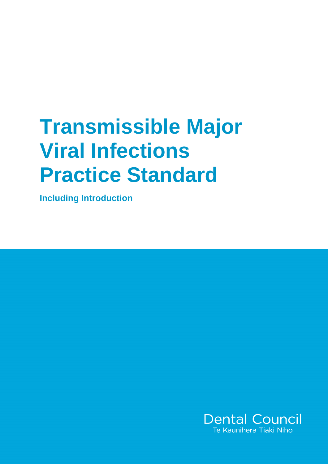# **Transmissible Major Viral Infections Practice Standard**

**Including Introduction** 

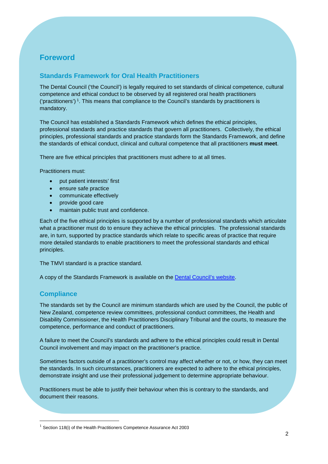## **Foreword**

### **Standards Framework for Oral Health Practitioners**

The Dental Council ('the Council') is legally required to set standards of clinical competence, cultural competence and ethical conduct to be observed by all registered oral health practitioners ('practitioners')<sup>1</sup>. This means that compliance to the Council's standards by practitioners is mandatory.

The Council has established a Standards Framework which defines the ethical principles, professional standards and practice standards that govern all practitioners. Collectively, the ethical principles, professional standards and practice standards form the Standards Framework, and define the standards of ethical conduct, clinical and cultural competence that all practitioners **must meet**.

There are five ethical principles that practitioners must adhere to at all times.

Practitioners must:

- put patient interests' first
- ensure safe practice
- communicate effectively
- provide good care
- maintain public trust and confidence.

Each of the five ethical principles is supported by a number of professional standards which articulate what a practitioner must do to ensure they achieve the ethical principles. The professional standards are, in turn, supported by practice standards which relate to specific areas of practice that require more detailed standards to enable practitioners to meet the professional standards and ethical principles.

The TMVI standard is a practice standard.

A copy of the Standards Framework is available on the Dental Council's website.

#### **Compliance**

 $\overline{a}$ 

The standards set by the Council are minimum standards which are used by the Council, the public of New Zealand, competence review committees, professional conduct committees, the Health and Disability Commissioner, the Health Practitioners Disciplinary Tribunal and the courts, to measure the competence, performance and conduct of practitioners.

A failure to meet the Council's standards and adhere to the ethical principles could result in Dental Council involvement and may impact on the practitioner's practice.

Sometimes factors outside of a practitioner's control may affect whether or not, or how, they can meet the standards. In such circumstances, practitioners are expected to adhere to the ethical principles, demonstrate insight and use their professional judgement to determine appropriate behaviour.

Practitioners must be able to justify their behaviour when this is contrary to the standards, and document their reasons.

<sup>&</sup>lt;sup>1</sup> Section 118(i) of the Health Practitioners Competence Assurance Act 2003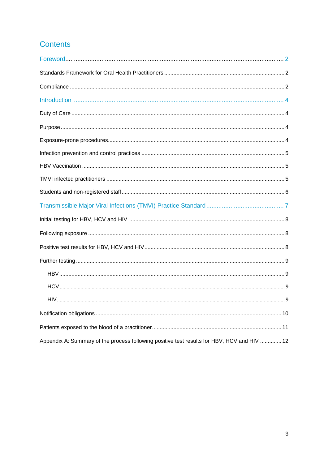# **Contents**

| Appendix A: Summary of the process following positive test results for HBV, HCV and HIV  12 |
|---------------------------------------------------------------------------------------------|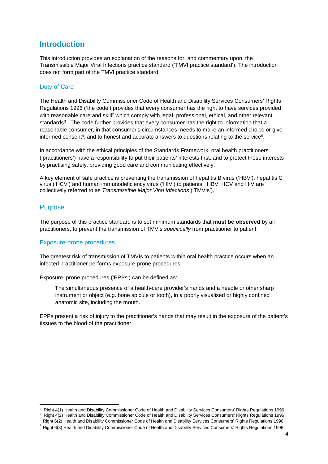## **Introduction**

This introduction provides an explanation of the reasons for, and commentary upon, the Transmissible Major Viral Infections practice standard ('TMVI practice standard'). The introduction does not form part of the TMVI practice standard.

#### Duty of Care

The Health and Disability Commissioner Code of Health and Disability Services Consumers' Rights Regulations 1996 ('the code') provides that every consumer has the right to have services provided with reasonable care and skill<sup>2</sup> which comply with legal, professional, ethical, and other relevant standards<sup>3</sup>. The code further provides that every consumer has the right to information that a reasonable consumer, in that consumer's circumstances, needs to make an informed choice or give informed consent<sup>4</sup>; and to honest and accurate answers to questions relating to the service<sup>5</sup>.

In accordance with the ethical principles of the Standards Framework, oral health practitioners ('practitioners') have a responsibility to put their patients' interests first, and to protect those interests by practising safely, providing good care and communicating effectively.

A key element of safe practice is preventing the transmission of hepatitis B virus ('HBV'), hepatitis C virus ('HCV') and human immunodeficiency virus ('HIV') to patients. HBV, HCV and HIV are collectively referred to as Transmissible Major Viral Infections ('TMVIs').

### Purpose

The purpose of this practice standard is to set minimum standards that **must be observed** by all practitioners, to prevent the transmission of TMVIs specifically from practitioner to patient.

#### Exposure-prone procedures

The greatest risk of transmission of TMVIs to patients within oral health practice occurs when an infected practitioner performs exposure-prone procedures.

Exposure–prone procedures ('EPPs') can be defined as:

 The simultaneous presence of a health-care provider's hands and a needle or other sharp instrument or object (e.g. bone spicule or tooth), in a poorly visualised or highly confined anatomic site, including the mouth.

EPPs present a risk of injury to the practitioner's hands that may result in the exposure of the patient's tissues to the blood of the practitioner.

 2 Right 4(1) Health and Disability Commissioner Code of Health and Disability Services Consumers' Rights Regulations 1996

<sup>&</sup>lt;sup>3</sup> Right 4(2) Health and Disability Commissioner Code of Health and Disability Services Consumers' Rights Regulations 1996

<sup>4</sup> Right 6(2) Health and Disability Commissioner Code of Health and Disability Services Consumers' Rights Regulations 1996

<sup>5</sup> Right 6(3) Health and Disability Commissioner Code of Health and Disability Services Consumers' Rights Regulations 1996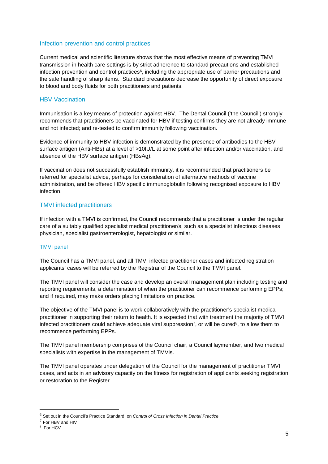#### Infection prevention and control practices

Current medical and scientific literature shows that the most effective means of preventing TMVI transmission in health care settings is by strict adherence to standard precautions and established infection prevention and control practices<sup>6</sup>, including the appropriate use of barrier precautions and the safe handling of sharp items. Standard precautions decrease the opportunity of direct exposure to blood and body fluids for both practitioners and patients.

#### **HBV Vaccination**

Immunisation is a key means of protection against HBV. The Dental Council ('the Council') strongly recommends that practitioners be vaccinated for HBV if testing confirms they are not already immune and not infected; and re-tested to confirm immunity following vaccination.

Evidence of immunity to HBV infection is demonstrated by the presence of antibodies to the HBV surface antigen (Anti-HBs) at a level of >10IU/L at some point after infection and/or vaccination, and absence of the HBV surface antigen (HBsAg).

If vaccination does not successfully establish immunity, it is recommended that practitioners be referred for specialist advice, perhaps for consideration of alternative methods of vaccine administration, and be offered HBV specific immunoglobulin following recognised exposure to HBV infection.

#### TMVI infected practitioners

If infection with a TMVI is confirmed, the Council recommends that a practitioner is under the regular care of a suitably qualified specialist medical practitioner/s, such as a specialist infectious diseases physician, specialist gastroenterologist, hepatologist or similar.

#### TMVI panel

The Council has a TMVI panel, and all TMVI infected practitioner cases and infected registration applicants' cases will be referred by the Registrar of the Council to the TMVI panel.

The TMVI panel will consider the case and develop an overall management plan including testing and reporting requirements, a determination of when the practitioner can recommence performing EPPs; and if required, may make orders placing limitations on practice.

The objective of the TMVI panel is to work collaboratively with the practitioner's specialist medical practitioner in supporting their return to health. It is expected that with treatment the majority of TMVI infected practitioners could achieve adequate viral suppression<sup>7</sup>, or will be cured<sup>8</sup>, to allow them to recommence performing EPPs.

The TMVI panel membership comprises of the Council chair, a Council laymember, and two medical specialists with expertise in the management of TMVIs.

The TMVI panel operates under delegation of the Council for the management of practitioner TMVI cases, and acts in an advisory capacity on the fitness for registration of applicants seeking registration or restoration to the Register.

 $<sup>6</sup>$  Set out in the Council's Practice Standard on Control of Cross Infection in Dental Practice</sup>

 $7$  For HBV and HIV

<sup>8</sup> For HCV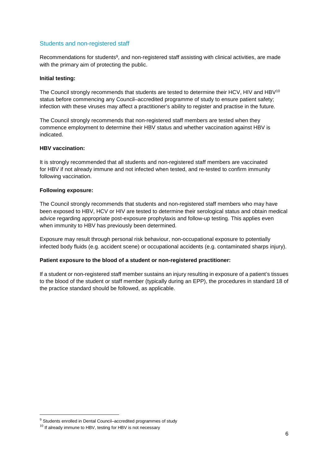#### Students and non-registered staff

Recommendations for students<sup>9</sup>, and non-registered staff assisting with clinical activities, are made with the primary aim of protecting the public.

#### **Initial testing:**

The Council strongly recommends that students are tested to determine their HCV, HIV and HBV<sup>10</sup> status before commencing any Council–accredited programme of study to ensure patient safety; infection with these viruses may affect a practitioner's ability to register and practise in the future.

The Council strongly recommends that non-registered staff members are tested when they commence employment to determine their HBV status and whether vaccination against HBV is indicated.

#### **HBV vaccination:**

It is strongly recommended that all students and non-registered staff members are vaccinated for HBV if not already immune and not infected when tested, and re-tested to confirm immunity following vaccination.

#### **Following exposure:**

The Council strongly recommends that students and non-registered staff members who may have been exposed to HBV, HCV or HIV are tested to determine their serological status and obtain medical advice regarding appropriate post-exposure prophylaxis and follow-up testing. This applies even when immunity to HBV has previously been determined.

Exposure may result through personal risk behaviour, non-occupational exposure to potentially infected body fluids (e.g. accident scene) or occupational accidents (e.g. contaminated sharps injury).

#### **Patient exposure to the blood of a student or non-registered practitioner:**

If a student or non-registered staff member sustains an injury resulting in exposure of a patient's tissues to the blood of the student or staff member (typically during an EPP), the procedures in standard 18 of the practice standard should be followed, as applicable.

<sup>&</sup>lt;sup>9</sup> Students enrolled in Dental Council–accredited programmes of study

 $10$  If already immune to HBV, testing for HBV is not necessary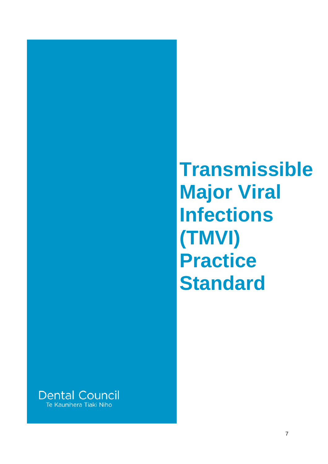# **Transmissible Major Viral Infections (TMVI) Practice Standard**

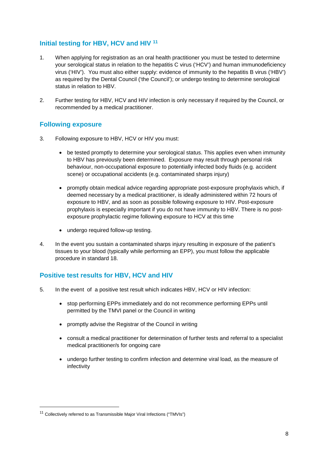## **Initial testing for HBV, HCV and HIV <sup>11</sup>**

- 1. When applying for registration as an oral health practitioner you must be tested to determine your serological status in relation to the hepatitis C virus ('HCV') and human immunodeficiency virus ('HIV'). You must also either supply: evidence of immunity to the hepatitis B virus ('HBV') as required by the Dental Council ('the Council'); or undergo testing to determine serological status in relation to HBV.
- 2. Further testing for HBV, HCV and HIV infection is only necessary if required by the Council, or recommended by a medical practitioner.

## **Following exposure**

- 3. Following exposure to HBV, HCV or HIV you must:
	- be tested promptly to determine your serological status. This applies even when immunity to HBV has previously been determined. Exposure may result through personal risk behaviour, non-occupational exposure to potentially infected body fluids (e.g. accident scene) or occupational accidents (e.g. contaminated sharps injury)
	- promptly obtain medical advice regarding appropriate post-exposure prophylaxis which, if deemed necessary by a medical practitioner, is ideally administered within 72 hours of exposure to HBV, and as soon as possible following exposure to HIV. Post-exposure prophylaxis is especially important if you do not have immunity to HBV. There is no postexposure prophylactic regime following exposure to HCV at this time
	- undergo required follow-up testing.
- 4. In the event you sustain a contaminated sharps injury resulting in exposure of the patient's tissues to your blood (typically while performing an EPP), you must follow the applicable procedure in standard 18.

## **Positive test results for HBV, HCV and HIV**

- 5. In the event of a positive test result which indicates HBV, HCV or HIV infection:
	- stop performing EPPs immediately and do not recommence performing EPPs until permitted by the TMVI panel or the Council in writing
	- promptly advise the Registrar of the Council in writing
	- consult a medical practitioner for determination of further tests and referral to a specialist medical practitioner/s for ongoing care
	- undergo further testing to confirm infection and determine viral load, as the measure of infectivity

<sup>&</sup>lt;sup>11</sup> Collectively referred to as Transmissible Major Viral Infections ("TMVIs")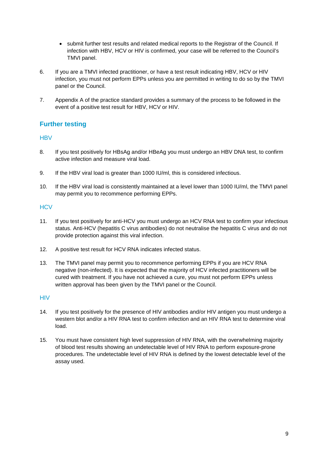- submit further test results and related medical reports to the Registrar of the Council. If infection with HBV, HCV or HIV is confirmed, your case will be referred to the Council's TMVI panel.
- 6. If you are a TMVI infected practitioner, or have a test result indicating HBV, HCV or HIV infection, you must not perform EPPs unless you are permitted in writing to do so by the TMVI panel or the Council.
- 7. Appendix A of the practice standard provides a summary of the process to be followed in the event of a positive test result for HBV, HCV or HIV.

## **Further testing**

#### **HBV**

- 8. If you test positively for HBsAg and/or HBeAg you must undergo an HBV DNA test, to confirm active infection and measure viral load.
- 9. If the HBV viral load is greater than 1000 IU/ml, this is considered infectious.
- 10. If the HBV viral load is consistently maintained at a level lower than 1000 IU/ml, the TMVI panel may permit you to recommence performing EPPs.

#### **HCV**

- 11. If you test positively for anti-HCV you must undergo an HCV RNA test to confirm your infectious status. Anti-HCV (hepatitis C virus antibodies) do not neutralise the hepatitis C virus and do not provide protection against this viral infection.
- 12. A positive test result for HCV RNA indicates infected status.
- 13. The TMVI panel may permit you to recommence performing EPPs if you are HCV RNA negative (non-infected). It is expected that the majority of HCV infected practitioners will be cured with treatment. If you have not achieved a cure, you must not perform EPPs unless written approval has been given by the TMVI panel or the Council.

#### **HIV**

- 14. If you test positively for the presence of HIV antibodies and/or HIV antigen you must undergo a western blot and/or a HIV RNA test to confirm infection and an HIV RNA test to determine viral load.
- 15. You must have consistent high level suppression of HIV RNA, with the overwhelming majority of blood test results showing an undetectable level of HIV RNA to perform exposure-prone procedures. The undetectable level of HIV RNA is defined by the lowest detectable level of the assay used.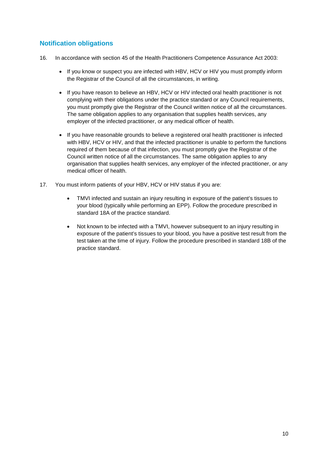## **Notification obligations**

- 16. In accordance with section 45 of the Health Practitioners Competence Assurance Act 2003:
	- If you know or suspect you are infected with HBV, HCV or HIV you must promptly inform the Registrar of the Council of all the circumstances, in writing.
	- If you have reason to believe an HBV, HCV or HIV infected oral health practitioner is not complying with their obligations under the practice standard or any Council requirements, you must promptly give the Registrar of the Council written notice of all the circumstances. The same obligation applies to any organisation that supplies health services, any employer of the infected practitioner, or any medical officer of health.
	- If you have reasonable grounds to believe a registered oral health practitioner is infected with HBV, HCV or HIV, and that the infected practitioner is unable to perform the functions required of them because of that infection, you must promptly give the Registrar of the Council written notice of all the circumstances. The same obligation applies to any organisation that supplies health services, any employer of the infected practitioner, or any medical officer of health.
- 17. You must inform patients of your HBV, HCV or HIV status if you are:
	- TMVI infected and sustain an injury resulting in exposure of the patient's tissues to your blood (typically while performing an EPP). Follow the procedure prescribed in standard 18A of the practice standard.
	- Not known to be infected with a TMVI, however subsequent to an injury resulting in exposure of the patient's tissues to your blood, you have a positive test result from the test taken at the time of injury. Follow the procedure prescribed in standard 18B of the practice standard.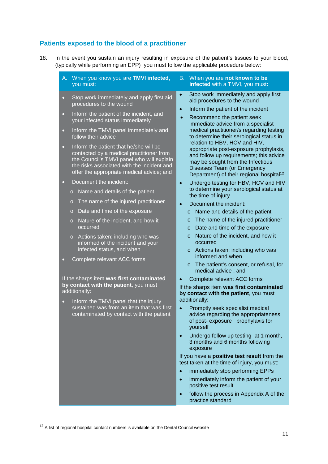## **Patients exposed to the blood of a practitioner**

- 18. In the event you sustain an injury resulting in exposure of the patient's tissues to your blood, (typically while performing an EPP) you must follow the applicable procedure below:
	- A. When you know you are **TMVI infected,** you must:
	- Stop work immediately and apply first aid procedures to the wound
	- Inform the patient of the incident, and your infected status immediately
	- Inform the TMVI panel immediately and follow their advice
	- Inform the patient that he/she will be contacted by a medical practitioner from the Council's TMVI panel who will explain the risks associated with the incident and offer the appropriate medical advice; and
	- Document the incident:
		- o Name and details of the patient
		- o The name of the injured practitioner
		- o Date and time of the exposure
		- o Nature of the incident, and how it occurred
		- o Actions taken; including who was informed of the incident and your infected status, and when
	- Complete relevant ACC forms

If the sharps item **was first contaminated by contact with the patient**, you must additionally:

• Inform the TMVI panel that the injury sustained was from an item that was first contaminated by contact with the patient

- B. When you are **not known to be infected** with a TMVI, you must**:**
- Stop work immediately and apply first aid procedures to the wound
- Inform the patient of the incident
- Recommend the patient seek immediate advice from a specialist medical practitioner/s regarding testing to determine their serological status in relation to HBV, HCV and HIV, appropriate post-exposure prophylaxis, and follow up requirements; this advice may be sought from the Infectious Diseases Team (or Emergency Department) of their regional hospital<sup>12</sup>
- Undergo testing for HBV, HCV and HIV to determine your serological status at the time of injury
- Document the incident:
	- o Name and details of the patient
	- o The name of the injured practitioner
	- o Date and time of the exposure
	- o Nature of the incident, and how it occurred
	- o Actions taken; including who was informed and when
	- o The patient's consent, or refusal, for medical advice ; and
- Complete relevant ACC forms

If the sharps item **was first contaminated by contact with the patient**, you must additionally:

- Promptly seek specialist medical advice regarding the appropriateness of post- exposure prophylaxis for yourself
- Undergo follow up testing at 1 month, 3 months and 6 months following exposure

If you have a **positive test result** from the test taken at the time of injury, you must:

- immediately stop performing EPPs
- immediately inform the patient of your positive test result
- follow the process in Appendix A of the practice standard

 $12$  A list of regional hospital contact numbers is available on the Dental Council website